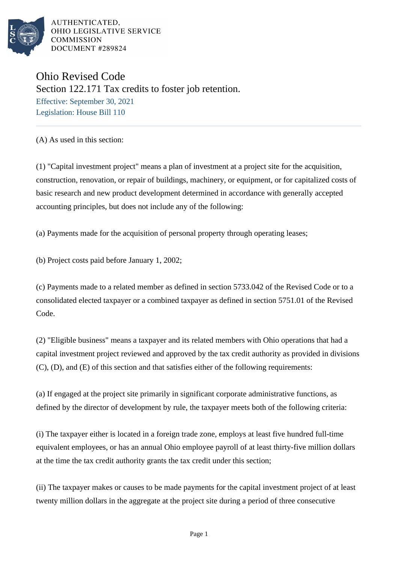

Ohio Revised Code Section 122.171 Tax credits to foster job retention. Effective: September 30, 2021 Legislation: House Bill 110

(A) As used in this section:

(1) "Capital investment project" means a plan of investment at a project site for the acquisition, construction, renovation, or repair of buildings, machinery, or equipment, or for capitalized costs of basic research and new product development determined in accordance with generally accepted accounting principles, but does not include any of the following:

(a) Payments made for the acquisition of personal property through operating leases;

(b) Project costs paid before January 1, 2002;

(c) Payments made to a related member as defined in section 5733.042 of the Revised Code or to a consolidated elected taxpayer or a combined taxpayer as defined in section 5751.01 of the Revised Code.

(2) "Eligible business" means a taxpayer and its related members with Ohio operations that had a capital investment project reviewed and approved by the tax credit authority as provided in divisions (C), (D), and (E) of this section and that satisfies either of the following requirements:

(a) If engaged at the project site primarily in significant corporate administrative functions, as defined by the director of development by rule, the taxpayer meets both of the following criteria:

(i) The taxpayer either is located in a foreign trade zone, employs at least five hundred full-time equivalent employees, or has an annual Ohio employee payroll of at least thirty-five million dollars at the time the tax credit authority grants the tax credit under this section;

(ii) The taxpayer makes or causes to be made payments for the capital investment project of at least twenty million dollars in the aggregate at the project site during a period of three consecutive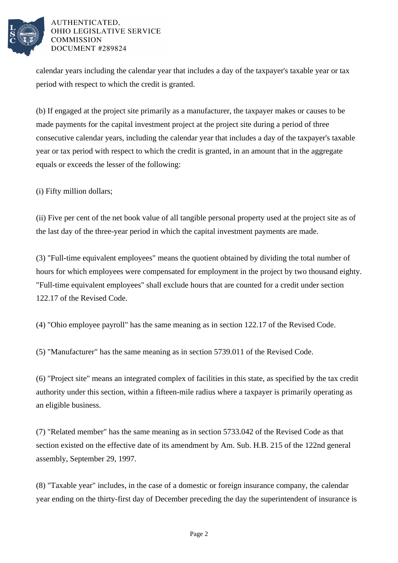

calendar years including the calendar year that includes a day of the taxpayer's taxable year or tax period with respect to which the credit is granted.

(b) If engaged at the project site primarily as a manufacturer, the taxpayer makes or causes to be made payments for the capital investment project at the project site during a period of three consecutive calendar years, including the calendar year that includes a day of the taxpayer's taxable year or tax period with respect to which the credit is granted, in an amount that in the aggregate equals or exceeds the lesser of the following:

(i) Fifty million dollars;

(ii) Five per cent of the net book value of all tangible personal property used at the project site as of the last day of the three-year period in which the capital investment payments are made.

(3) "Full-time equivalent employees" means the quotient obtained by dividing the total number of hours for which employees were compensated for employment in the project by two thousand eighty. "Full-time equivalent employees" shall exclude hours that are counted for a credit under section 122.17 of the Revised Code.

(4) "Ohio employee payroll" has the same meaning as in section 122.17 of the Revised Code.

(5) "Manufacturer" has the same meaning as in section 5739.011 of the Revised Code.

(6) "Project site" means an integrated complex of facilities in this state, as specified by the tax credit authority under this section, within a fifteen-mile radius where a taxpayer is primarily operating as an eligible business.

(7) "Related member" has the same meaning as in section 5733.042 of the Revised Code as that section existed on the effective date of its amendment by Am. Sub. H.B. 215 of the 122nd general assembly, September 29, 1997.

(8) "Taxable year" includes, in the case of a domestic or foreign insurance company, the calendar year ending on the thirty-first day of December preceding the day the superintendent of insurance is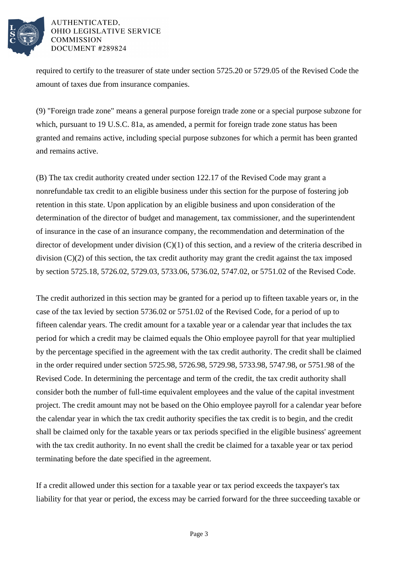

required to certify to the treasurer of state under section 5725.20 or 5729.05 of the Revised Code the amount of taxes due from insurance companies.

(9) "Foreign trade zone" means a general purpose foreign trade zone or a special purpose subzone for which, pursuant to 19 U.S.C. 81a, as amended, a permit for foreign trade zone status has been granted and remains active, including special purpose subzones for which a permit has been granted and remains active.

(B) The tax credit authority created under section 122.17 of the Revised Code may grant a nonrefundable tax credit to an eligible business under this section for the purpose of fostering job retention in this state. Upon application by an eligible business and upon consideration of the determination of the director of budget and management, tax commissioner, and the superintendent of insurance in the case of an insurance company, the recommendation and determination of the director of development under division (C)(1) of this section, and a review of the criteria described in division (C)(2) of this section, the tax credit authority may grant the credit against the tax imposed by section 5725.18, 5726.02, 5729.03, 5733.06, 5736.02, 5747.02, or 5751.02 of the Revised Code.

The credit authorized in this section may be granted for a period up to fifteen taxable years or, in the case of the tax levied by section 5736.02 or 5751.02 of the Revised Code, for a period of up to fifteen calendar years. The credit amount for a taxable year or a calendar year that includes the tax period for which a credit may be claimed equals the Ohio employee payroll for that year multiplied by the percentage specified in the agreement with the tax credit authority. The credit shall be claimed in the order required under section 5725.98, 5726.98, 5729.98, 5733.98, 5747.98, or 5751.98 of the Revised Code. In determining the percentage and term of the credit, the tax credit authority shall consider both the number of full-time equivalent employees and the value of the capital investment project. The credit amount may not be based on the Ohio employee payroll for a calendar year before the calendar year in which the tax credit authority specifies the tax credit is to begin, and the credit shall be claimed only for the taxable years or tax periods specified in the eligible business' agreement with the tax credit authority. In no event shall the credit be claimed for a taxable year or tax period terminating before the date specified in the agreement.

If a credit allowed under this section for a taxable year or tax period exceeds the taxpayer's tax liability for that year or period, the excess may be carried forward for the three succeeding taxable or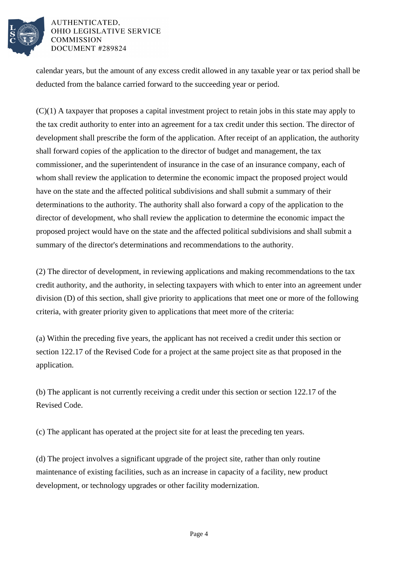

calendar years, but the amount of any excess credit allowed in any taxable year or tax period shall be deducted from the balance carried forward to the succeeding year or period.

(C)(1) A taxpayer that proposes a capital investment project to retain jobs in this state may apply to the tax credit authority to enter into an agreement for a tax credit under this section. The director of development shall prescribe the form of the application. After receipt of an application, the authority shall forward copies of the application to the director of budget and management, the tax commissioner, and the superintendent of insurance in the case of an insurance company, each of whom shall review the application to determine the economic impact the proposed project would have on the state and the affected political subdivisions and shall submit a summary of their determinations to the authority. The authority shall also forward a copy of the application to the director of development, who shall review the application to determine the economic impact the proposed project would have on the state and the affected political subdivisions and shall submit a summary of the director's determinations and recommendations to the authority.

(2) The director of development, in reviewing applications and making recommendations to the tax credit authority, and the authority, in selecting taxpayers with which to enter into an agreement under division (D) of this section, shall give priority to applications that meet one or more of the following criteria, with greater priority given to applications that meet more of the criteria:

(a) Within the preceding five years, the applicant has not received a credit under this section or section 122.17 of the Revised Code for a project at the same project site as that proposed in the application.

(b) The applicant is not currently receiving a credit under this section or section 122.17 of the Revised Code.

(c) The applicant has operated at the project site for at least the preceding ten years.

(d) The project involves a significant upgrade of the project site, rather than only routine maintenance of existing facilities, such as an increase in capacity of a facility, new product development, or technology upgrades or other facility modernization.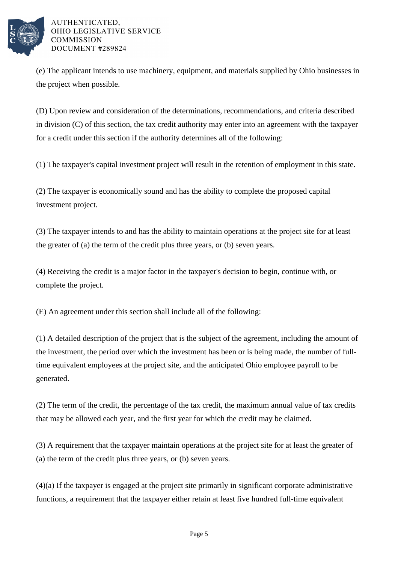

(e) The applicant intends to use machinery, equipment, and materials supplied by Ohio businesses in the project when possible.

(D) Upon review and consideration of the determinations, recommendations, and criteria described in division (C) of this section, the tax credit authority may enter into an agreement with the taxpayer for a credit under this section if the authority determines all of the following:

(1) The taxpayer's capital investment project will result in the retention of employment in this state.

(2) The taxpayer is economically sound and has the ability to complete the proposed capital investment project.

(3) The taxpayer intends to and has the ability to maintain operations at the project site for at least the greater of (a) the term of the credit plus three years, or (b) seven years.

(4) Receiving the credit is a major factor in the taxpayer's decision to begin, continue with, or complete the project.

(E) An agreement under this section shall include all of the following:

(1) A detailed description of the project that is the subject of the agreement, including the amount of the investment, the period over which the investment has been or is being made, the number of fulltime equivalent employees at the project site, and the anticipated Ohio employee payroll to be generated.

(2) The term of the credit, the percentage of the tax credit, the maximum annual value of tax credits that may be allowed each year, and the first year for which the credit may be claimed.

(3) A requirement that the taxpayer maintain operations at the project site for at least the greater of (a) the term of the credit plus three years, or (b) seven years.

(4)(a) If the taxpayer is engaged at the project site primarily in significant corporate administrative functions, a requirement that the taxpayer either retain at least five hundred full-time equivalent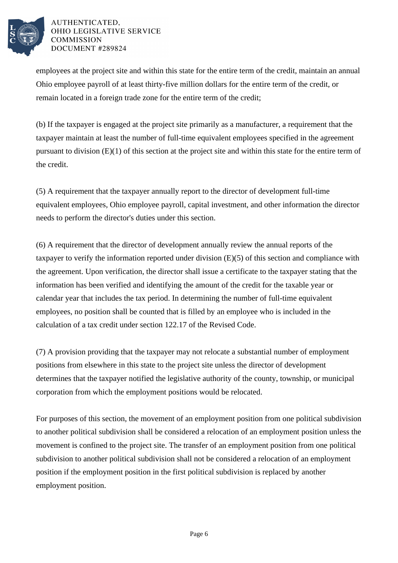

employees at the project site and within this state for the entire term of the credit, maintain an annual Ohio employee payroll of at least thirty-five million dollars for the entire term of the credit, or remain located in a foreign trade zone for the entire term of the credit;

(b) If the taxpayer is engaged at the project site primarily as a manufacturer, a requirement that the taxpayer maintain at least the number of full-time equivalent employees specified in the agreement pursuant to division (E)(1) of this section at the project site and within this state for the entire term of the credit.

(5) A requirement that the taxpayer annually report to the director of development full-time equivalent employees, Ohio employee payroll, capital investment, and other information the director needs to perform the director's duties under this section.

(6) A requirement that the director of development annually review the annual reports of the taxpayer to verify the information reported under division (E)(5) of this section and compliance with the agreement. Upon verification, the director shall issue a certificate to the taxpayer stating that the information has been verified and identifying the amount of the credit for the taxable year or calendar year that includes the tax period. In determining the number of full-time equivalent employees, no position shall be counted that is filled by an employee who is included in the calculation of a tax credit under section 122.17 of the Revised Code.

(7) A provision providing that the taxpayer may not relocate a substantial number of employment positions from elsewhere in this state to the project site unless the director of development determines that the taxpayer notified the legislative authority of the county, township, or municipal corporation from which the employment positions would be relocated.

For purposes of this section, the movement of an employment position from one political subdivision to another political subdivision shall be considered a relocation of an employment position unless the movement is confined to the project site. The transfer of an employment position from one political subdivision to another political subdivision shall not be considered a relocation of an employment position if the employment position in the first political subdivision is replaced by another employment position.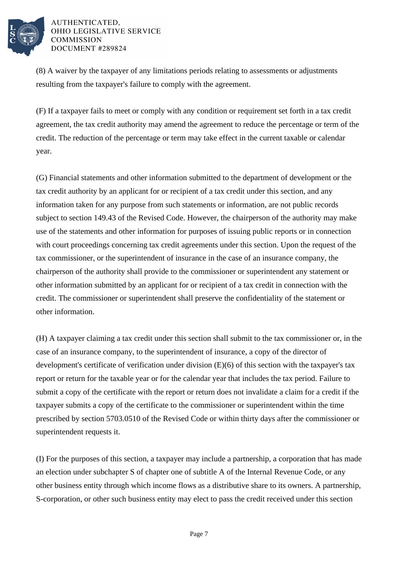

(8) A waiver by the taxpayer of any limitations periods relating to assessments or adjustments resulting from the taxpayer's failure to comply with the agreement.

(F) If a taxpayer fails to meet or comply with any condition or requirement set forth in a tax credit agreement, the tax credit authority may amend the agreement to reduce the percentage or term of the credit. The reduction of the percentage or term may take effect in the current taxable or calendar year.

(G) Financial statements and other information submitted to the department of development or the tax credit authority by an applicant for or recipient of a tax credit under this section, and any information taken for any purpose from such statements or information, are not public records subject to section 149.43 of the Revised Code. However, the chairperson of the authority may make use of the statements and other information for purposes of issuing public reports or in connection with court proceedings concerning tax credit agreements under this section. Upon the request of the tax commissioner, or the superintendent of insurance in the case of an insurance company, the chairperson of the authority shall provide to the commissioner or superintendent any statement or other information submitted by an applicant for or recipient of a tax credit in connection with the credit. The commissioner or superintendent shall preserve the confidentiality of the statement or other information.

(H) A taxpayer claiming a tax credit under this section shall submit to the tax commissioner or, in the case of an insurance company, to the superintendent of insurance, a copy of the director of development's certificate of verification under division (E)(6) of this section with the taxpayer's tax report or return for the taxable year or for the calendar year that includes the tax period. Failure to submit a copy of the certificate with the report or return does not invalidate a claim for a credit if the taxpayer submits a copy of the certificate to the commissioner or superintendent within the time prescribed by section 5703.0510 of the Revised Code or within thirty days after the commissioner or superintendent requests it.

(I) For the purposes of this section, a taxpayer may include a partnership, a corporation that has made an election under subchapter S of chapter one of subtitle A of the Internal Revenue Code, or any other business entity through which income flows as a distributive share to its owners. A partnership, S-corporation, or other such business entity may elect to pass the credit received under this section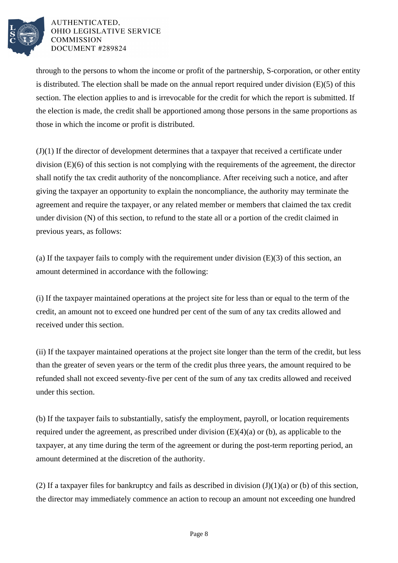

through to the persons to whom the income or profit of the partnership, S-corporation, or other entity is distributed. The election shall be made on the annual report required under division (E)(5) of this section. The election applies to and is irrevocable for the credit for which the report is submitted. If the election is made, the credit shall be apportioned among those persons in the same proportions as those in which the income or profit is distributed.

(J)(1) If the director of development determines that a taxpayer that received a certificate under division (E)(6) of this section is not complying with the requirements of the agreement, the director shall notify the tax credit authority of the noncompliance. After receiving such a notice, and after giving the taxpayer an opportunity to explain the noncompliance, the authority may terminate the agreement and require the taxpayer, or any related member or members that claimed the tax credit under division (N) of this section, to refund to the state all or a portion of the credit claimed in previous years, as follows:

(a) If the taxpayer fails to comply with the requirement under division  $(E)(3)$  of this section, an amount determined in accordance with the following:

(i) If the taxpayer maintained operations at the project site for less than or equal to the term of the credit, an amount not to exceed one hundred per cent of the sum of any tax credits allowed and received under this section.

(ii) If the taxpayer maintained operations at the project site longer than the term of the credit, but less than the greater of seven years or the term of the credit plus three years, the amount required to be refunded shall not exceed seventy-five per cent of the sum of any tax credits allowed and received under this section.

(b) If the taxpayer fails to substantially, satisfy the employment, payroll, or location requirements required under the agreement, as prescribed under division (E)(4)(a) or (b), as applicable to the taxpayer, at any time during the term of the agreement or during the post-term reporting period, an amount determined at the discretion of the authority.

(2) If a taxpayer files for bankruptcy and fails as described in division  $(J)(1)(a)$  or (b) of this section, the director may immediately commence an action to recoup an amount not exceeding one hundred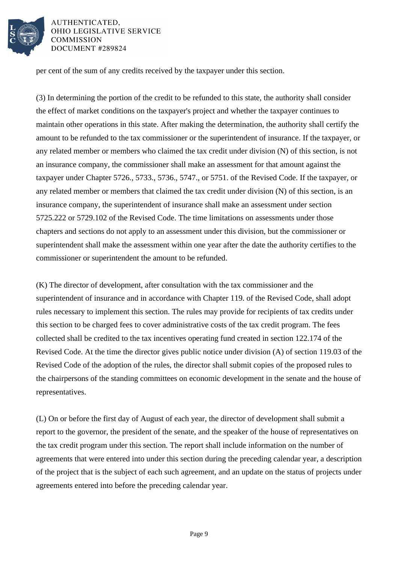

per cent of the sum of any credits received by the taxpayer under this section.

(3) In determining the portion of the credit to be refunded to this state, the authority shall consider the effect of market conditions on the taxpayer's project and whether the taxpayer continues to maintain other operations in this state. After making the determination, the authority shall certify the amount to be refunded to the tax commissioner or the superintendent of insurance. If the taxpayer, or any related member or members who claimed the tax credit under division (N) of this section, is not an insurance company, the commissioner shall make an assessment for that amount against the taxpayer under Chapter 5726., 5733., 5736., 5747., or 5751. of the Revised Code. If the taxpayer, or any related member or members that claimed the tax credit under division (N) of this section, is an insurance company, the superintendent of insurance shall make an assessment under section 5725.222 or 5729.102 of the Revised Code. The time limitations on assessments under those chapters and sections do not apply to an assessment under this division, but the commissioner or superintendent shall make the assessment within one year after the date the authority certifies to the commissioner or superintendent the amount to be refunded.

(K) The director of development, after consultation with the tax commissioner and the superintendent of insurance and in accordance with Chapter 119. of the Revised Code, shall adopt rules necessary to implement this section. The rules may provide for recipients of tax credits under this section to be charged fees to cover administrative costs of the tax credit program. The fees collected shall be credited to the tax incentives operating fund created in section 122.174 of the Revised Code. At the time the director gives public notice under division (A) of section 119.03 of the Revised Code of the adoption of the rules, the director shall submit copies of the proposed rules to the chairpersons of the standing committees on economic development in the senate and the house of representatives.

(L) On or before the first day of August of each year, the director of development shall submit a report to the governor, the president of the senate, and the speaker of the house of representatives on the tax credit program under this section. The report shall include information on the number of agreements that were entered into under this section during the preceding calendar year, a description of the project that is the subject of each such agreement, and an update on the status of projects under agreements entered into before the preceding calendar year.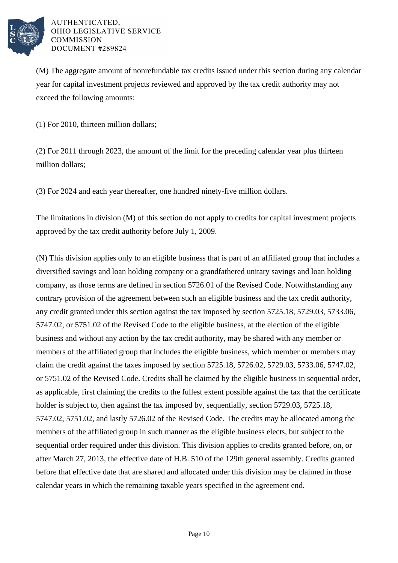

(M) The aggregate amount of nonrefundable tax credits issued under this section during any calendar year for capital investment projects reviewed and approved by the tax credit authority may not exceed the following amounts:

(1) For 2010, thirteen million dollars;

(2) For 2011 through 2023, the amount of the limit for the preceding calendar year plus thirteen million dollars;

(3) For 2024 and each year thereafter, one hundred ninety-five million dollars.

The limitations in division (M) of this section do not apply to credits for capital investment projects approved by the tax credit authority before July 1, 2009.

(N) This division applies only to an eligible business that is part of an affiliated group that includes a diversified savings and loan holding company or a grandfathered unitary savings and loan holding company, as those terms are defined in section 5726.01 of the Revised Code. Notwithstanding any contrary provision of the agreement between such an eligible business and the tax credit authority, any credit granted under this section against the tax imposed by section 5725.18, 5729.03, 5733.06, 5747.02, or 5751.02 of the Revised Code to the eligible business, at the election of the eligible business and without any action by the tax credit authority, may be shared with any member or members of the affiliated group that includes the eligible business, which member or members may claim the credit against the taxes imposed by section 5725.18, 5726.02, 5729.03, 5733.06, 5747.02, or 5751.02 of the Revised Code. Credits shall be claimed by the eligible business in sequential order, as applicable, first claiming the credits to the fullest extent possible against the tax that the certificate holder is subject to, then against the tax imposed by, sequentially, section 5729.03, 5725.18, 5747.02, 5751.02, and lastly 5726.02 of the Revised Code. The credits may be allocated among the members of the affiliated group in such manner as the eligible business elects, but subject to the sequential order required under this division. This division applies to credits granted before, on, or after March 27, 2013, the effective date of H.B. 510 of the 129th general assembly. Credits granted before that effective date that are shared and allocated under this division may be claimed in those calendar years in which the remaining taxable years specified in the agreement end.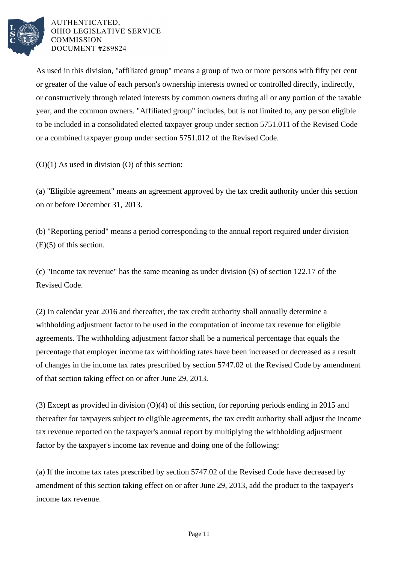

As used in this division, "affiliated group" means a group of two or more persons with fifty per cent or greater of the value of each person's ownership interests owned or controlled directly, indirectly, or constructively through related interests by common owners during all or any portion of the taxable year, and the common owners. "Affiliated group" includes, but is not limited to, any person eligible to be included in a consolidated elected taxpayer group under section 5751.011 of the Revised Code or a combined taxpayer group under section 5751.012 of the Revised Code.

 $(O)(1)$  As used in division  $(O)$  of this section:

(a) "Eligible agreement" means an agreement approved by the tax credit authority under this section on or before December 31, 2013.

(b) "Reporting period" means a period corresponding to the annual report required under division (E)(5) of this section.

(c) "Income tax revenue" has the same meaning as under division (S) of section 122.17 of the Revised Code.

(2) In calendar year 2016 and thereafter, the tax credit authority shall annually determine a withholding adjustment factor to be used in the computation of income tax revenue for eligible agreements. The withholding adjustment factor shall be a numerical percentage that equals the percentage that employer income tax withholding rates have been increased or decreased as a result of changes in the income tax rates prescribed by section 5747.02 of the Revised Code by amendment of that section taking effect on or after June 29, 2013.

(3) Except as provided in division (O)(4) of this section, for reporting periods ending in 2015 and thereafter for taxpayers subject to eligible agreements, the tax credit authority shall adjust the income tax revenue reported on the taxpayer's annual report by multiplying the withholding adjustment factor by the taxpayer's income tax revenue and doing one of the following:

(a) If the income tax rates prescribed by section 5747.02 of the Revised Code have decreased by amendment of this section taking effect on or after June 29, 2013, add the product to the taxpayer's income tax revenue.